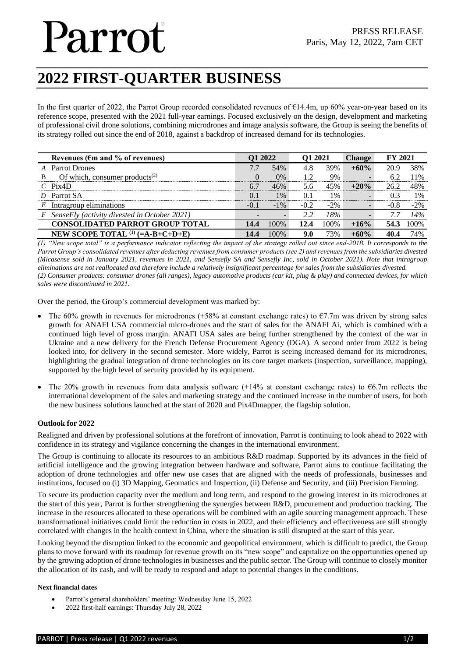# Parrot

### **2022 FIRST-QUARTER BUSINESS**

In the first quarter of 2022, the Parrot Group recorded consolidated revenues of  $\epsilon$ 14.4m, up 60% year-on-year based on its reference scope, presented with the 2021 full-year earnings. Focused exclusively on the design, development and marketing of professional civil drone solutions, combining microdrones and image analysis software, the Group is seeing the benefits of its strategy rolled out since the end of 2018, against a backdrop of increased demand for its technologies.

| Revenues ( $\epsilon$ m and % of revenues)      |                          | O1 2022                      |        | Q1 2021 |        | <b>FY 2021</b> |        |
|-------------------------------------------------|--------------------------|------------------------------|--------|---------|--------|----------------|--------|
| A Parrot Drones                                 | 7.7                      | 54%                          | 4.8    | 39%     | $+60%$ | 20.9           | 38%    |
| Of which, consumer products <sup>(2)</sup><br>B | 0                        | $0\%$                        | 1.2    | 9%      |        | 6.2            | 11%    |
| $C$ Pix <sub>4</sub> D                          | 6.7                      | 46%                          | 5.6    | 45%     | $+20%$ | 26.2           | 48%    |
| D Parrot SA                                     | 0.1                      | 1%                           | 0.1    | 1%      |        | 0.3            | 1%     |
| Intragroup eliminations<br>E                    | $-0.1$                   | $-1\%$                       | $-0.2$ | $-2\%$  |        | $-0.8$         | $-2\%$ |
| F SenseFly (activity divested in October 2021)  | $\overline{\phantom{a}}$ | $\qquad \qquad \blacksquare$ | 2.2    | 18%     |        | 7.7            | $14\%$ |
| <b>CONSOLIDATED PARROT GROUP TOTAL</b>          | 14.4                     | 100%                         | 12.4   | 100%    | $+16%$ | 54.3           | 100%   |
| NEW SCOPE TOTAL $^{(1)}$ (=A-B+C+D+E)           | 14.4                     | 100%                         | 9.0    | 73%     | $+60%$ | 40.4           | 74%    |

 $\overline{I}$  (1) "New scope total" is a performance indicator reflecting the impact of the strategy rolled out since end-2018. It corresponds to the *Parrot Group's consolidated revenues after deducting revenues from consumer products (see 2) and revenues from the subsidiaries divested (Micasense sold in January 2021, revenues in 2021, and Sensefly SA and Sensefly Inc, sold in October 2021). Note that intragroup eliminations are not reallocated and therefore include a relatively insignificant percentage for sales from the subsidiaries divested. (2) Consumer products: consumer drones (all ranges), legacy automotive products (car kit, plug & play) and connected devices, for which sales were discontinued in 2021.*

Over the period, the Group's commercial development was marked by:

- The 60% growth in revenues for microdrones (+58% at constant exchange rates) to  $\epsilon$ 7.7m was driven by strong sales growth for ANAFI USA commercial micro-drones and the start of sales for the ANAFI Ai, which is combined with a continued high level of gross margin. ANAFI USA sales are being further strengthened by the context of the war in Ukraine and a new delivery for the French Defense Procurement Agency (DGA). A second order from 2022 is being looked into, for delivery in the second semester. More widely, Parrot is seeing increased demand for its microdrones, highlighting the gradual integration of drone technologies on its core target markets (inspection, surveillance, mapping), supported by the high level of security provided by its equipment.
- The 20% growth in revenues from data analysis software  $(+14%$  at constant exchange rates) to  $66.7$ m reflects the international development of the sales and marketing strategy and the continued increase in the number of users, for both the new business solutions launched at the start of 2020 and Pix4Dmapper, the flagship solution.

#### **Outlook for 2022**

Realigned and driven by professional solutions at the forefront of innovation, Parrot is continuing to look ahead to 2022 with confidence in its strategy and vigilance concerning the changes in the international environment.

The Group is continuing to allocate its resources to an ambitious R&D roadmap. Supported by its advances in the field of artificial intelligence and the growing integration between hardware and software, Parrot aims to continue facilitating the adoption of drone technologies and offer new use cases that are aligned with the needs of professionals, businesses and institutions, focused on (i) 3D Mapping, Geomatics and Inspection, (ii) Defense and Security, and (iii) Precision Farming.

To secure its production capacity over the medium and long term, and respond to the growing interest in its microdrones at the start of this year, Parrot is further strengthening the synergies between R&D, procurement and production tracking. The increase in the resources allocated to these operations will be combined with an agile sourcing management approach. These transformational initiatives could limit the reduction in costs in 2022, and their efficiency and effectiveness are still strongly correlated with changes in the health context in China, where the situation is still disrupted at the start of this year.

Looking beyond the disruption linked to the economic and geopolitical environment, which is difficult to predict, the Group plans to move forward with its roadmap for revenue growth on its "new scope" and capitalize on the opportunities opened up by the growing adoption of drone technologies in businesses and the public sector. The Group will continue to closely monitor the allocation of its cash, and will be ready to respond and adapt to potential changes in the conditions.

#### **Next financial dates**

- Parrot's general shareholders' meeting: Wednesday June 15, 2022
- 2022 first-half earnings: Thursday July 28, 2022